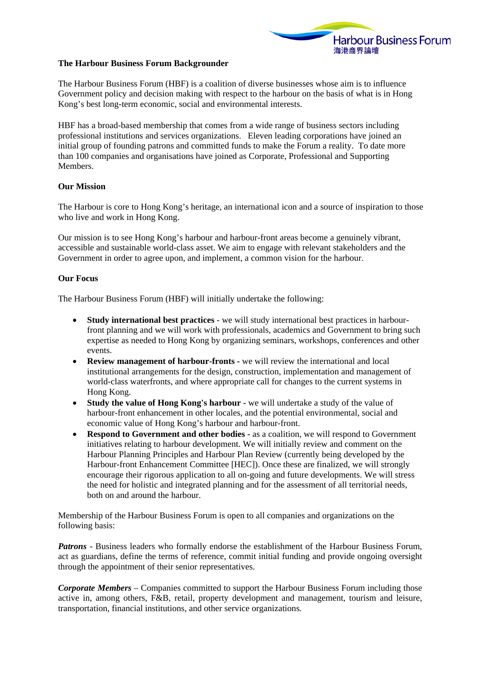

## **The Harbour Business Forum Backgrounder**

The Harbour Business Forum (HBF) is a coalition of diverse businesses whose aim is to influence Government policy and decision making with respect to the harbour on the basis of what is in Hong Kong's best long-term economic, social and environmental interests.

HBF has a broad-based membership that comes from a wide range of business sectors including professional institutions and services organizations. Eleven leading corporations have joined an initial group of founding patrons and committed funds to make the Forum a reality. To date more than 100 companies and organisations have joined as Corporate, Professional and Supporting **Members** 

## **Our Mission**

The Harbour is core to Hong Kong's heritage, an international icon and a source of inspiration to those who live and work in Hong Kong.

Our mission is to see Hong Kong's harbour and harbour-front areas become a genuinely vibrant, accessible and sustainable world-class asset. We aim to engage with relevant stakeholders and the Government in order to agree upon, and implement, a common vision for the harbour.

## **Our Focus**

The Harbour Business Forum (HBF) will initially undertake the following:

- **Study international best practices** we will study international best practices in harbourfront planning and we will work with professionals, academics and Government to bring such expertise as needed to Hong Kong by organizing seminars, workshops, conferences and other events.
- **Review management of harbour-fronts** we will review the international and local institutional arrangements for the design, construction, implementation and management of world-class waterfronts, and where appropriate call for changes to the current systems in Hong Kong.
- **Study the value of Hong Kong's harbour** we will undertake a study of the value of harbour-front enhancement in other locales, and the potential environmental, social and economic value of Hong Kong's harbour and harbour-front.
- **Respond to Government and other bodies** as a coalition, we will respond to Government initiatives relating to harbour development. We will initially review and comment on the Harbour Planning Principles and Harbour Plan Review (currently being developed by the Harbour-front Enhancement Committee [HEC]). Once these are finalized, we will strongly encourage their rigorous application to all on-going and future developments. We will stress the need for holistic and integrated planning and for the assessment of all territorial needs, both on and around the harbour.

Membership of the Harbour Business Forum is open to all companies and organizations on the following basis:

*Patrons* - Business leaders who formally endorse the establishment of the Harbour Business Forum, act as guardians, define the terms of reference, commit initial funding and provide ongoing oversight through the appointment of their senior representatives.

*Corporate Members* – Companies committed to support the Harbour Business Forum including those active in, among others, F&B, retail, property development and management, tourism and leisure, transportation, financial institutions, and other service organizations*.*